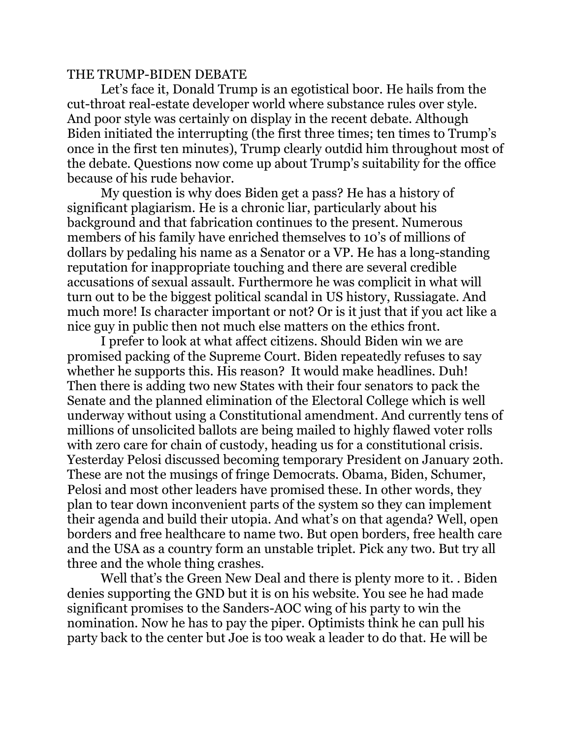## THE TRUMP-BIDEN DEBATE

Let's face it, Donald Trump is an egotistical boor. He hails from the cut-throat real-estate developer world where substance rules over style. And poor style was certainly on display in the recent debate. Although Biden initiated the interrupting (the first three times; ten times to Trump's once in the first ten minutes), Trump clearly outdid him throughout most of the debate. Questions now come up about Trump's suitability for the office because of his rude behavior.

My question is why does Biden get a pass? He has a history of significant plagiarism. He is a chronic liar, particularly about his background and that fabrication continues to the present. Numerous members of his family have enriched themselves to 10's of millions of dollars by pedaling his name as a Senator or a VP. He has a long-standing reputation for inappropriate touching and there are several credible accusations of sexual assault. Furthermore he was complicit in what will turn out to be the biggest political scandal in US history, Russiagate. And much more! Is character important or not? Or is it just that if you act like a nice guy in public then not much else matters on the ethics front.

I prefer to look at what affect citizens. Should Biden win we are promised packing of the Supreme Court. Biden repeatedly refuses to say whether he supports this. His reason? It would make headlines. Duh! Then there is adding two new States with their four senators to pack the Senate and the planned elimination of the Electoral College which is well underway without using a Constitutional amendment. And currently tens of millions of unsolicited ballots are being mailed to highly flawed voter rolls with zero care for chain of custody, heading us for a constitutional crisis. Yesterday Pelosi discussed becoming temporary President on January 20th. These are not the musings of fringe Democrats. Obama, Biden, Schumer, Pelosi and most other leaders have promised these. In other words, they plan to tear down inconvenient parts of the system so they can implement their agenda and build their utopia. And what's on that agenda? Well, open borders and free healthcare to name two. But open borders, free health care and the USA as a country form an unstable triplet. Pick any two. But try all three and the whole thing crashes.

Well that's the Green New Deal and there is plenty more to it. . Biden denies supporting the GND but it is on his website. You see he had made significant promises to the Sanders-AOC wing of his party to win the nomination. Now he has to pay the piper. Optimists think he can pull his party back to the center but Joe is too weak a leader to do that. He will be